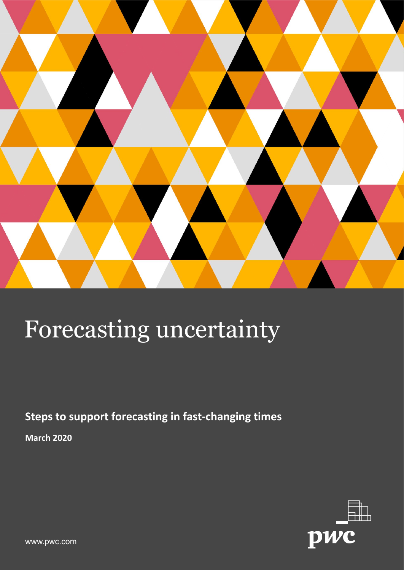

**Steps to support forecasting in fast-changing times**

**March 2020**



www.pwc.com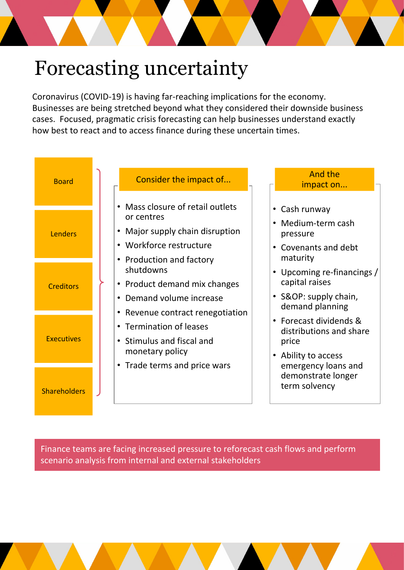Coronavirus (COVID-19) is having far-reaching implications for the economy. Businesses are being stretched beyond what they considered their downside business cases. Focused, pragmatic crisis forecasting can help businesses understand exactly how best to react and to access finance during these uncertain times.



Finance teams are facing increased pressure to reforecast cash flows and perform scenario analysis from internal and external stakeholders

2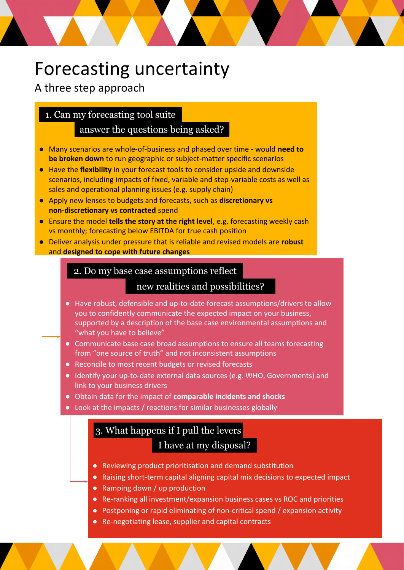#### A three step approach

#### 1. Can my forecasting tool suite

#### answer the questions being asked?

- Many scenarios are whole-of-business and phased over time would **need to be broken down** to run geographic or subject-matter specific scenarios
- Have the **flexibility** in your forecast tools to consider upside and downside scenarios, including impacts of fixed, variable and step-variable costs as well as sales and operational planning issues (e.g. supply chain)
- Apply new lenses to budgets and forecasts, such as **discretionary vs non-discretionary vs contracted** spend
- Ensure the model **tells the story at the right level**, e.g. forecasting weekly cash vs monthly; forecasting below EBITDA for true cash position
- Deliver analysis under pressure that is reliable and revised models are **robust**  and **designed to cope with future changes**

#### 2. Do my base case assumptions reflect

#### new realities and possibilities?

- Have robust, defensible and up-to-date forecast assumptions/drivers to allow you to confidently communicate the expected impact on your business, supported by a description of the base case environmental assumptions and "what you have to believe"
- Communicate base case broad assumptions to ensure all teams forecasting from "one source of truth" and not inconsistent assumptions
- Reconcile to most recent budgets or revised forecasts
- Identify your up-to-date external data sources (e.g. WHO, Governments) and link to your business drivers
- Obtain data for the impact of **comparable incidents and shocks**
- Look at the impacts / reactions for similar businesses globally

#### 3. What happens if I pull the levers I have at my disposal?

- Reviewing product prioritisation and demand substitution
- Raising short-term capital aligning capital mix decisions to expected impact
- Ramping down / up production
- Re-ranking all investment/expansion business cases vs ROC and priorities
- Postponing or rapid eliminating of non-critical spend / expansion activity
- Re-negotiating lease, supplier and capital contracts